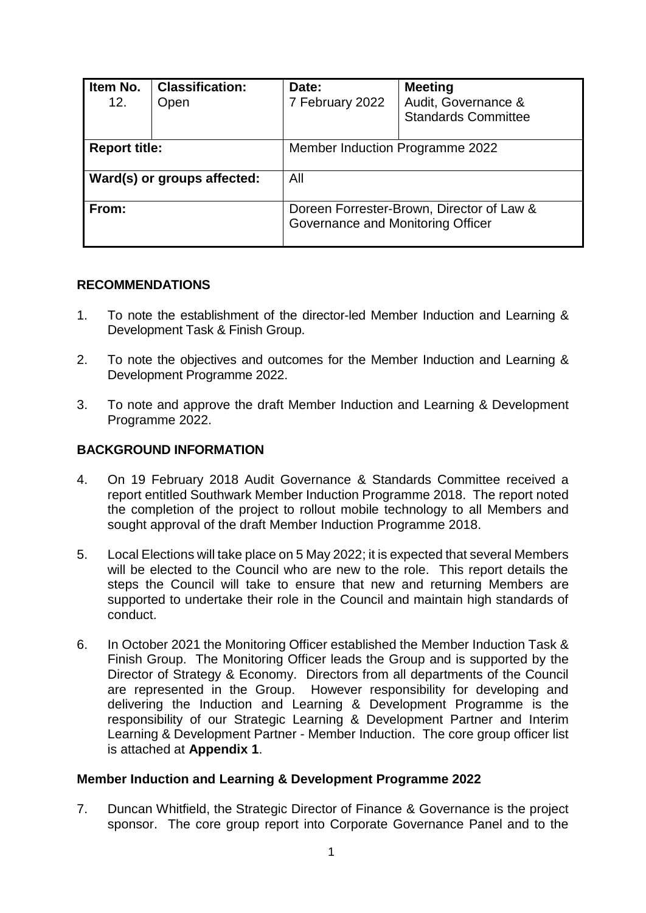| Item No.<br>12.      | <b>Classification:</b><br>Open | Date:<br>7 February 2022                                                       | <b>Meeting</b><br>Audit, Governance &<br><b>Standards Committee</b> |  |  |  |
|----------------------|--------------------------------|--------------------------------------------------------------------------------|---------------------------------------------------------------------|--|--|--|
| <b>Report title:</b> |                                | Member Induction Programme 2022                                                |                                                                     |  |  |  |
|                      | Ward(s) or groups affected:    | All                                                                            |                                                                     |  |  |  |
| From:                |                                | Doreen Forrester-Brown, Director of Law &<br>Governance and Monitoring Officer |                                                                     |  |  |  |

# **RECOMMENDATIONS**

- 1. To note the establishment of the director-led Member Induction and Learning & Development Task & Finish Group.
- 2. To note the objectives and outcomes for the Member Induction and Learning & Development Programme 2022.
- 3. To note and approve the draft Member Induction and Learning & Development Programme 2022.

# **BACKGROUND INFORMATION**

- 4. On 19 February 2018 Audit Governance & Standards Committee received a report entitled Southwark Member Induction Programme 2018. The report noted the completion of the project to rollout mobile technology to all Members and sought approval of the draft Member Induction Programme 2018.
- 5. Local Elections will take place on 5 May 2022; it is expected that several Members will be elected to the Council who are new to the role. This report details the steps the Council will take to ensure that new and returning Members are supported to undertake their role in the Council and maintain high standards of conduct.
- 6. In October 2021 the Monitoring Officer established the Member Induction Task & Finish Group. The Monitoring Officer leads the Group and is supported by the Director of Strategy & Economy. Directors from all departments of the Council are represented in the Group. However responsibility for developing and delivering the Induction and Learning & Development Programme is the responsibility of our Strategic Learning & Development Partner and Interim Learning & Development Partner - Member Induction. The core group officer list is attached at **Appendix 1**.

### **Member Induction and Learning & Development Programme 2022**

7. Duncan Whitfield, the Strategic Director of Finance & Governance is the project sponsor. The core group report into Corporate Governance Panel and to the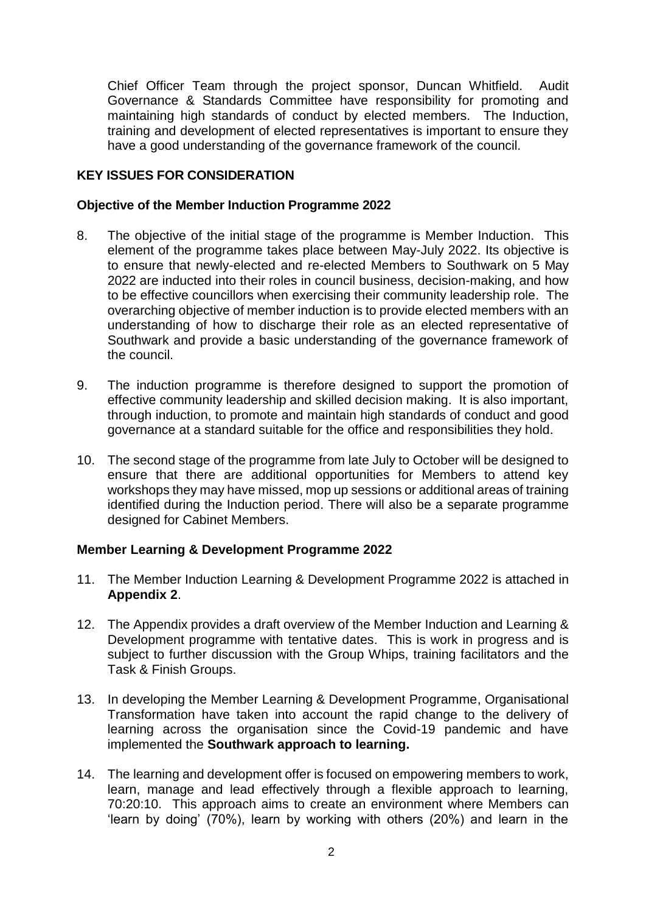Chief Officer Team through the project sponsor, Duncan Whitfield. Audit Governance & Standards Committee have responsibility for promoting and maintaining high standards of conduct by elected members. The Induction, training and development of elected representatives is important to ensure they have a good understanding of the governance framework of the council.

# **KEY ISSUES FOR CONSIDERATION**

## **Objective of the Member Induction Programme 2022**

- 8. The objective of the initial stage of the programme is Member Induction. This element of the programme takes place between May-July 2022. Its objective is to ensure that newly-elected and re-elected Members to Southwark on 5 May 2022 are inducted into their roles in council business, decision-making, and how to be effective councillors when exercising their community leadership role. The overarching objective of member induction is to provide elected members with an understanding of how to discharge their role as an elected representative of Southwark and provide a basic understanding of the governance framework of the council.
- 9. The induction programme is therefore designed to support the promotion of effective community leadership and skilled decision making. It is also important, through induction, to promote and maintain high standards of conduct and good governance at a standard suitable for the office and responsibilities they hold.
- 10. The second stage of the programme from late July to October will be designed to ensure that there are additional opportunities for Members to attend key workshops they may have missed, mop up sessions or additional areas of training identified during the Induction period. There will also be a separate programme designed for Cabinet Members.

# **Member Learning & Development Programme 2022**

- 11. The Member Induction Learning & Development Programme 2022 is attached in **Appendix 2**.
- 12. The Appendix provides a draft overview of the Member Induction and Learning & Development programme with tentative dates. This is work in progress and is subject to further discussion with the Group Whips, training facilitators and the Task & Finish Groups.
- 13. In developing the Member Learning & Development Programme, Organisational Transformation have taken into account the rapid change to the delivery of learning across the organisation since the Covid-19 pandemic and have implemented the **Southwark approach to learning.**
- 14. The learning and development offer is focused on empowering members to work, learn, manage and lead effectively through a flexible approach to learning, 70:20:10. This approach aims to create an environment where Members can 'learn by doing' (70%), learn by working with others (20%) and learn in the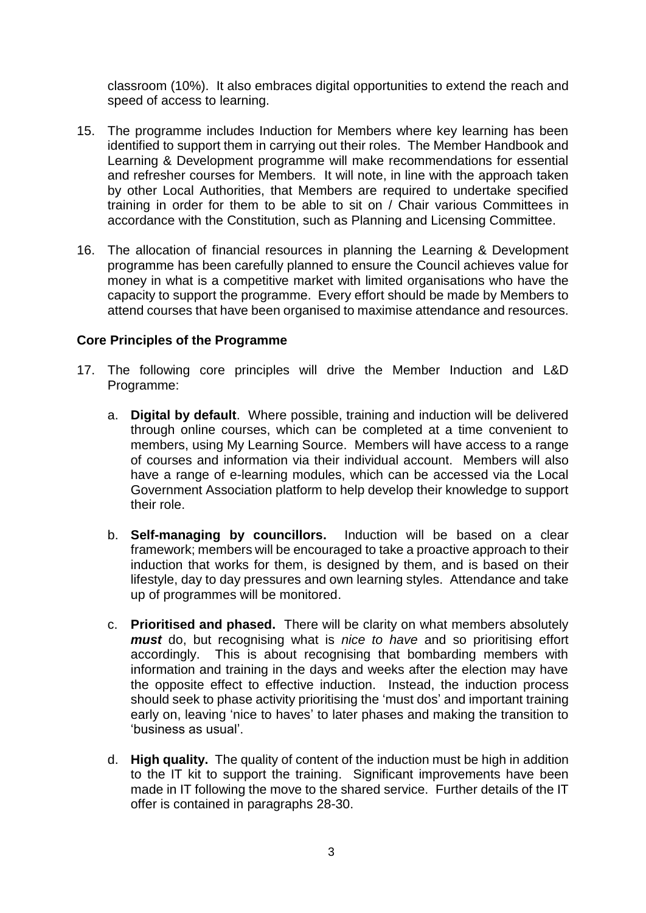classroom (10%). It also embraces digital opportunities to extend the reach and speed of access to learning.

- 15. The programme includes Induction for Members where key learning has been identified to support them in carrying out their roles. The Member Handbook and Learning & Development programme will make recommendations for essential and refresher courses for Members. It will note, in line with the approach taken by other Local Authorities, that Members are required to undertake specified training in order for them to be able to sit on / Chair various Committees in accordance with the Constitution, such as Planning and Licensing Committee.
- 16. The allocation of financial resources in planning the Learning & Development programme has been carefully planned to ensure the Council achieves value for money in what is a competitive market with limited organisations who have the capacity to support the programme. Every effort should be made by Members to attend courses that have been organised to maximise attendance and resources.

# **Core Principles of the Programme**

- 17. The following core principles will drive the Member Induction and L&D Programme:
	- a. **Digital by default**. Where possible, training and induction will be delivered through online courses, which can be completed at a time convenient to members, using My Learning Source. Members will have access to a range of courses and information via their individual account. Members will also have a range of e-learning modules, which can be accessed via the Local Government Association platform to help develop their knowledge to support their role.
	- b. **Self-managing by councillors.** Induction will be based on a clear framework; members will be encouraged to take a proactive approach to their induction that works for them, is designed by them, and is based on their lifestyle, day to day pressures and own learning styles. Attendance and take up of programmes will be monitored.
	- c. **Prioritised and phased.** There will be clarity on what members absolutely *must* do, but recognising what is *nice to have* and so prioritising effort accordingly. This is about recognising that bombarding members with information and training in the days and weeks after the election may have the opposite effect to effective induction. Instead, the induction process should seek to phase activity prioritising the 'must dos' and important training early on, leaving 'nice to haves' to later phases and making the transition to 'business as usual'.
	- d. **High quality.** The quality of content of the induction must be high in addition to the IT kit to support the training. Significant improvements have been made in IT following the move to the shared service. Further details of the IT offer is contained in paragraphs 28-30.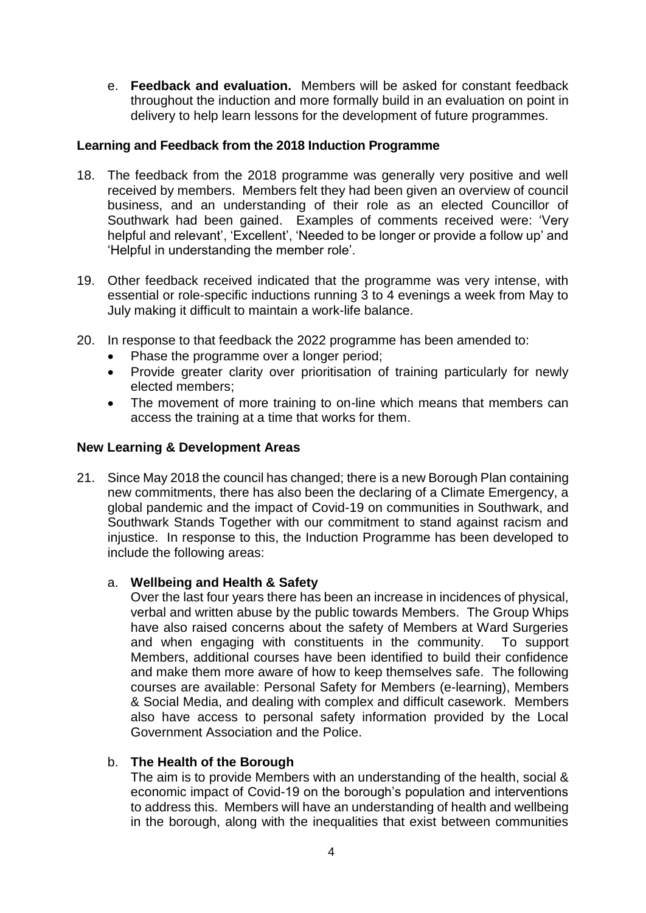e. **Feedback and evaluation.** Members will be asked for constant feedback throughout the induction and more formally build in an evaluation on point in delivery to help learn lessons for the development of future programmes.

# **Learning and Feedback from the 2018 Induction Programme**

- 18. The feedback from the 2018 programme was generally very positive and well received by members. Members felt they had been given an overview of council business, and an understanding of their role as an elected Councillor of Southwark had been gained. Examples of comments received were: 'Very helpful and relevant', 'Excellent', 'Needed to be longer or provide a follow up' and 'Helpful in understanding the member role'.
- 19. Other feedback received indicated that the programme was very intense, with essential or role-specific inductions running 3 to 4 evenings a week from May to July making it difficult to maintain a work-life balance.
- 20. In response to that feedback the 2022 programme has been amended to:
	- Phase the programme over a longer period;
	- Provide greater clarity over prioritisation of training particularly for newly elected members;
	- The movement of more training to on-line which means that members can access the training at a time that works for them.

# **New Learning & Development Areas**

21. Since May 2018 the council has changed; there is a new Borough Plan containing new commitments, there has also been the declaring of a Climate Emergency, a global pandemic and the impact of Covid-19 on communities in Southwark, and Southwark Stands Together with our commitment to stand against racism and injustice. In response to this, the Induction Programme has been developed to include the following areas:

# a. **Wellbeing and Health & Safety**

Over the last four years there has been an increase in incidences of physical, verbal and written abuse by the public towards Members. The Group Whips have also raised concerns about the safety of Members at Ward Surgeries and when engaging with constituents in the community. To support Members, additional courses have been identified to build their confidence and make them more aware of how to keep themselves safe. The following courses are available: Personal Safety for Members (e-learning), Members & Social Media, and dealing with complex and difficult casework. Members also have access to personal safety information provided by the Local Government Association and the Police.

# b. **The Health of the Borough**

The aim is to provide Members with an understanding of the health, social & economic impact of Covid-19 on the borough's population and interventions to address this. Members will have an understanding of health and wellbeing in the borough, along with the inequalities that exist between communities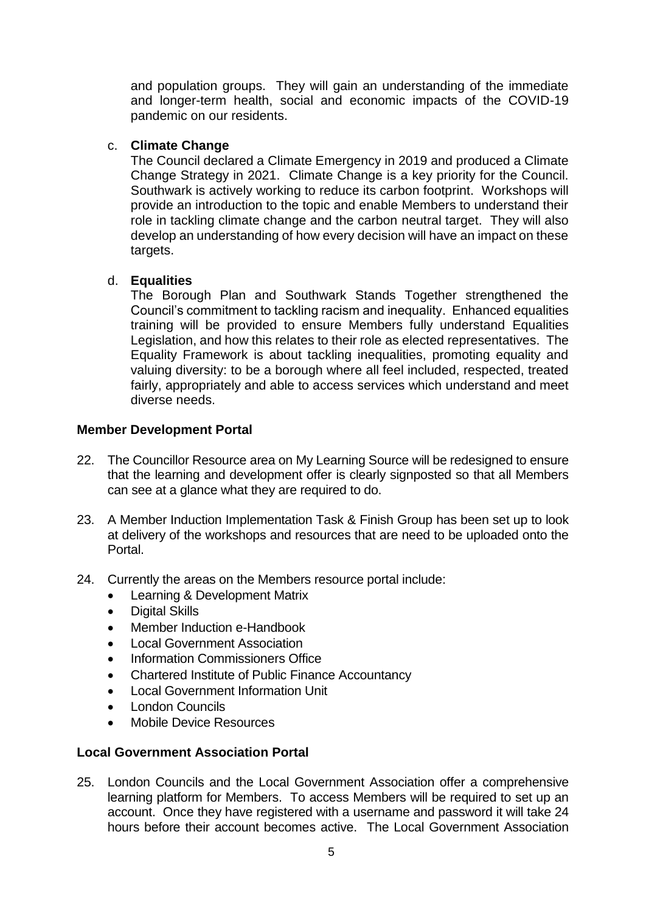and population groups. They will gain an understanding of the immediate and longer-term health, social and economic impacts of the COVID-19 pandemic on our residents.

# c. **Climate Change**

The Council declared a Climate Emergency in 2019 and produced a Climate Change Strategy in 2021. Climate Change is a key priority for the Council. Southwark is actively working to reduce its carbon footprint. Workshops will provide an introduction to the topic and enable Members to understand their role in tackling climate change and the carbon neutral target. They will also develop an understanding of how every decision will have an impact on these targets.

# d. **Equalities**

The Borough Plan and Southwark Stands Together strengthened the Council's commitment to tackling racism and inequality. Enhanced equalities training will be provided to ensure Members fully understand Equalities Legislation, and how this relates to their role as elected representatives. The Equality Framework is about tackling inequalities, promoting equality and valuing diversity: to be a borough where all feel included, respected, treated fairly, appropriately and able to access services which understand and meet diverse needs.

# **Member Development Portal**

- 22. The Councillor Resource area on My Learning Source will be redesigned to ensure that the learning and development offer is clearly signposted so that all Members can see at a glance what they are required to do.
- 23. A Member Induction Implementation Task & Finish Group has been set up to look at delivery of the workshops and resources that are need to be uploaded onto the Portal.
- 24. Currently the areas on the Members resource portal include:
	- Learning & Development Matrix
	- Digital Skills
	- Member Induction e-Handbook
	- Local Government Association
	- Information Commissioners Office
	- Chartered Institute of Public Finance Accountancy
	- Local Government Information Unit
	- London Councils
	- Mobile Device Resources

# **Local Government Association Portal**

25. London Councils and the Local Government Association offer a comprehensive learning platform for Members. To access Members will be required to set up an account. Once they have registered with a username and password it will take 24 hours before their account becomes active. The Local Government Association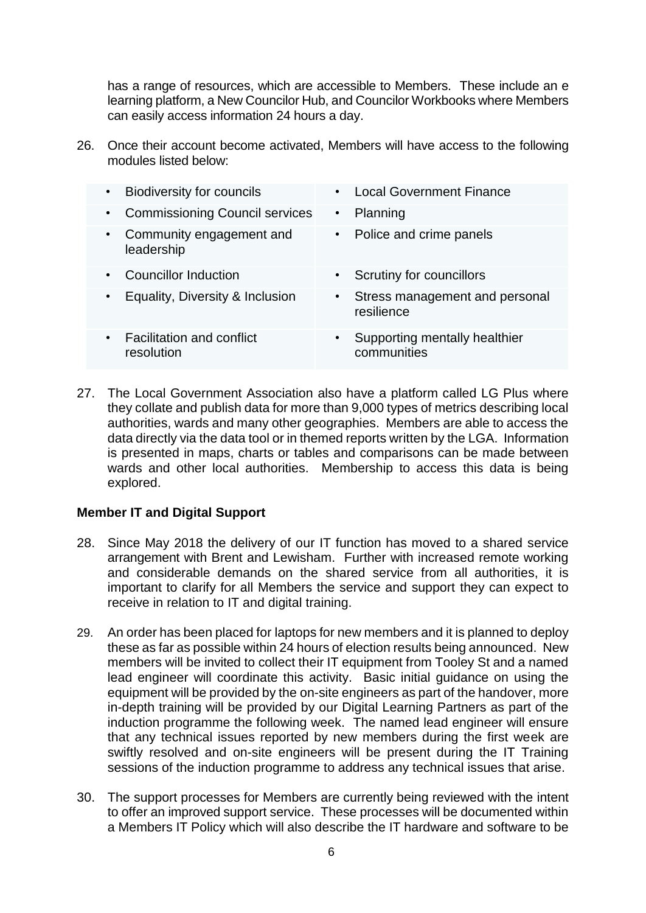has a range of resources, which are accessible to Members. These include an e learning platform, a New Councilor Hub, and Councilor Workbooks where Members can easily access information 24 hours a day.

26. Once their account become activated, Members will have access to the following modules listed below:

|           | <b>Biodiversity for councils</b>               | $\bullet$ | <b>Local Government Finance</b>              |
|-----------|------------------------------------------------|-----------|----------------------------------------------|
| ٠         | <b>Commissioning Council services</b>          | $\bullet$ | Planning                                     |
|           | Community engagement and<br>leadership         |           | • Police and crime panels                    |
| $\bullet$ | <b>Councillor Induction</b>                    | $\bullet$ | Scrutiny for councillors                     |
|           | Equality, Diversity & Inclusion                | $\bullet$ | Stress management and personal<br>resilience |
| $\bullet$ | <b>Facilitation and conflict</b><br>resolution | $\bullet$ | Supporting mentally healthier<br>communities |

27. The Local Government Association also have a platform called LG Plus where they collate and publish data for more than 9,000 types of metrics describing local authorities, wards and many other geographies. Members are able to access the data directly via the data tool or in themed reports written by the LGA. Information is presented in maps, charts or tables and comparisons can be made between wards and other local authorities. Membership to access this data is being explored.

# **Member IT and Digital Support**

- 28. Since May 2018 the delivery of our IT function has moved to a shared service arrangement with Brent and Lewisham. Further with increased remote working and considerable demands on the shared service from all authorities, it is important to clarify for all Members the service and support they can expect to receive in relation to IT and digital training.
- 29. An order has been placed for laptops for new members and it is planned to deploy these as far as possible within 24 hours of election results being announced. New members will be invited to collect their IT equipment from Tooley St and a named lead engineer will coordinate this activity. Basic initial guidance on using the equipment will be provided by the on-site engineers as part of the handover, more in-depth training will be provided by our Digital Learning Partners as part of the induction programme the following week. The named lead engineer will ensure that any technical issues reported by new members during the first week are swiftly resolved and on-site engineers will be present during the IT Training sessions of the induction programme to address any technical issues that arise.
- 30. The support processes for Members are currently being reviewed with the intent to offer an improved support service. These processes will be documented within a Members IT Policy which will also describe the IT hardware and software to be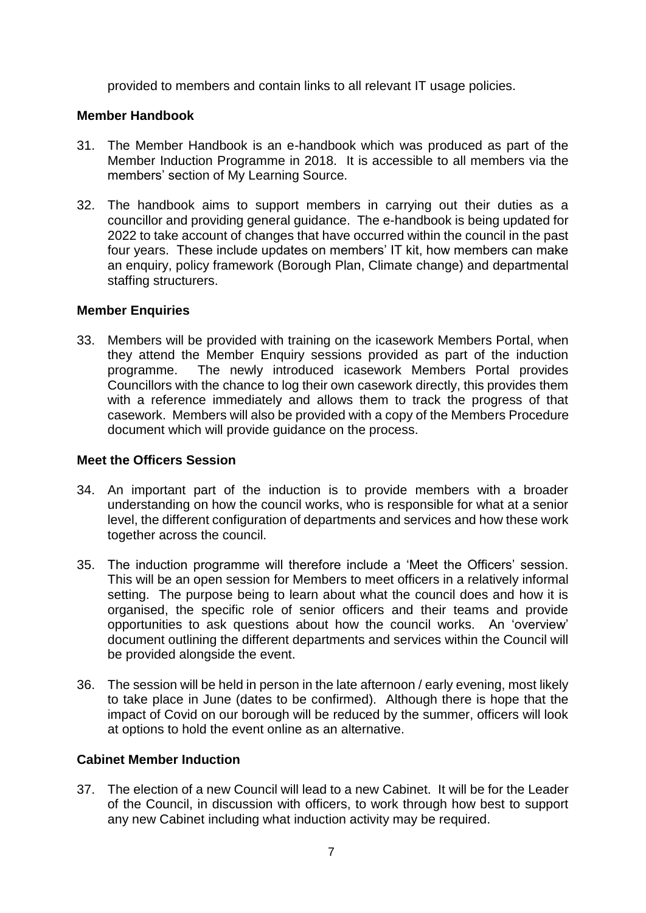provided to members and contain links to all relevant IT usage policies.

# **Member Handbook**

- 31. The Member Handbook is an e-handbook which was produced as part of the Member Induction Programme in 2018. It is accessible to all members via the members' section of My Learning Source.
- 32. The handbook aims to support members in carrying out their duties as a councillor and providing general guidance. The e-handbook is being updated for 2022 to take account of changes that have occurred within the council in the past four years. These include updates on members' IT kit, how members can make an enquiry, policy framework (Borough Plan, Climate change) and departmental staffing structurers.

# **Member Enquiries**

33. Members will be provided with training on the icasework Members Portal, when they attend the Member Enquiry sessions provided as part of the induction programme. The newly introduced icasework Members Portal provides Councillors with the chance to log their own casework directly, this provides them with a reference immediately and allows them to track the progress of that casework. Members will also be provided with a copy of the Members Procedure document which will provide guidance on the process.

# **Meet the Officers Session**

- 34. An important part of the induction is to provide members with a broader understanding on how the council works, who is responsible for what at a senior level, the different configuration of departments and services and how these work together across the council.
- 35. The induction programme will therefore include a 'Meet the Officers' session. This will be an open session for Members to meet officers in a relatively informal setting. The purpose being to learn about what the council does and how it is organised, the specific role of senior officers and their teams and provide opportunities to ask questions about how the council works. An 'overview' document outlining the different departments and services within the Council will be provided alongside the event.
- 36. The session will be held in person in the late afternoon / early evening, most likely to take place in June (dates to be confirmed). Although there is hope that the impact of Covid on our borough will be reduced by the summer, officers will look at options to hold the event online as an alternative.

# **Cabinet Member Induction**

37. The election of a new Council will lead to a new Cabinet. It will be for the Leader of the Council, in discussion with officers, to work through how best to support any new Cabinet including what induction activity may be required.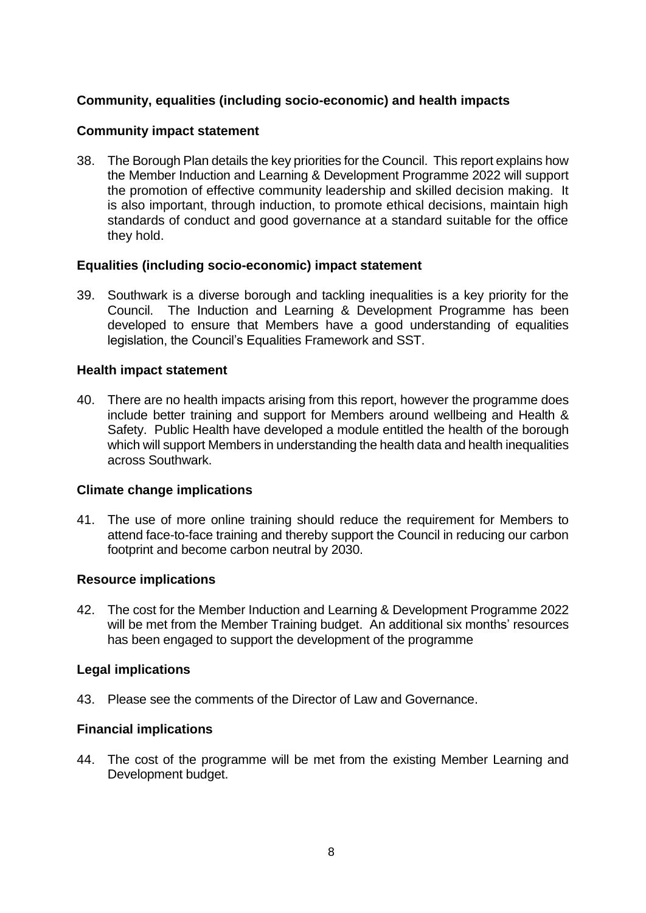# **Community, equalities (including socio-economic) and health impacts**

# **Community impact statement**

38. The Borough Plan details the key priorities for the Council. This report explains how the Member Induction and Learning & Development Programme 2022 will support the promotion of effective community leadership and skilled decision making. It is also important, through induction, to promote ethical decisions, maintain high standards of conduct and good governance at a standard suitable for the office they hold.

# **Equalities (including socio-economic) impact statement**

39. Southwark is a diverse borough and tackling inequalities is a key priority for the Council. The Induction and Learning & Development Programme has been developed to ensure that Members have a good understanding of equalities legislation, the Council's Equalities Framework and SST.

## **Health impact statement**

40. There are no health impacts arising from this report, however the programme does include better training and support for Members around wellbeing and Health & Safety. Public Health have developed a module entitled the health of the borough which will support Members in understanding the health data and health inequalities across Southwark.

# **Climate change implications**

41. The use of more online training should reduce the requirement for Members to attend face-to-face training and thereby support the Council in reducing our carbon footprint and become carbon neutral by 2030.

# **Resource implications**

42. The cost for the Member Induction and Learning & Development Programme 2022 will be met from the Member Training budget. An additional six months' resources has been engaged to support the development of the programme

### **Legal implications**

43. Please see the comments of the Director of Law and Governance.

# **Financial implications**

44. The cost of the programme will be met from the existing Member Learning and Development budget.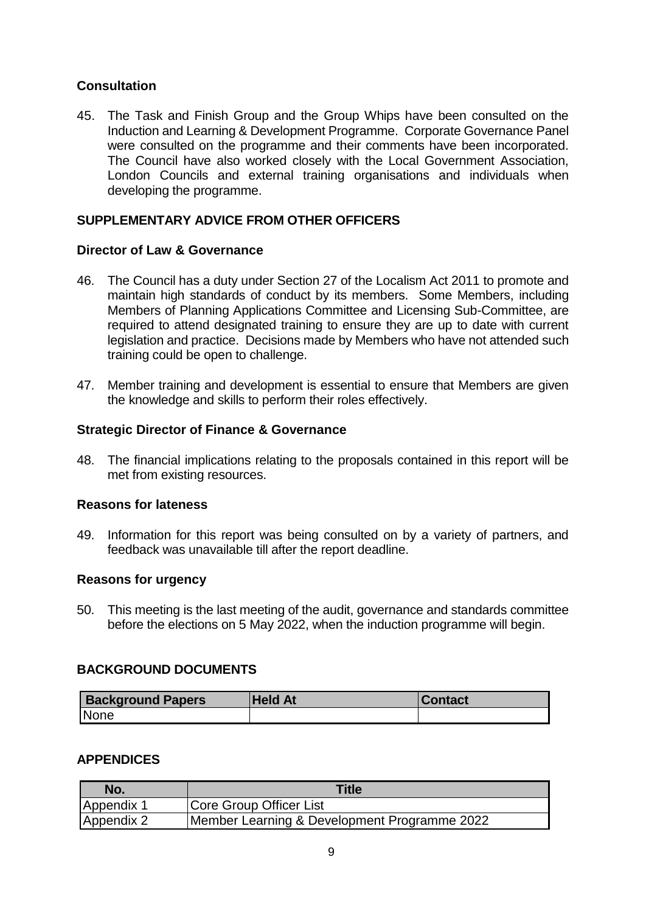# **Consultation**

45. The Task and Finish Group and the Group Whips have been consulted on the Induction and Learning & Development Programme. Corporate Governance Panel were consulted on the programme and their comments have been incorporated. The Council have also worked closely with the Local Government Association, London Councils and external training organisations and individuals when developing the programme.

# **SUPPLEMENTARY ADVICE FROM OTHER OFFICERS**

# **Director of Law & Governance**

- 46. The Council has a duty under Section 27 of the Localism Act 2011 to promote and maintain high standards of conduct by its members. Some Members, including Members of Planning Applications Committee and Licensing Sub-Committee, are required to attend designated training to ensure they are up to date with current legislation and practice. Decisions made by Members who have not attended such training could be open to challenge.
- 47. Member training and development is essential to ensure that Members are given the knowledge and skills to perform their roles effectively.

# **Strategic Director of Finance & Governance**

48. The financial implications relating to the proposals contained in this report will be met from existing resources.

# **Reasons for lateness**

49. Information for this report was being consulted on by a variety of partners, and feedback was unavailable till after the report deadline.

# **Reasons for urgency**

50. This meeting is the last meeting of the audit, governance and standards committee before the elections on 5 May 2022, when the induction programme will begin.

# **BACKGROUND DOCUMENTS**

| <b>Background Papers</b> | <b>Held At</b> | <b>⊥Contact</b> |
|--------------------------|----------------|-----------------|
| None                     |                |                 |

# **APPENDICES**

| No.        | <b>Title</b>                                 |
|------------|----------------------------------------------|
| Appendix 1 | Core Group Officer List                      |
| Appendix 2 | Member Learning & Development Programme 2022 |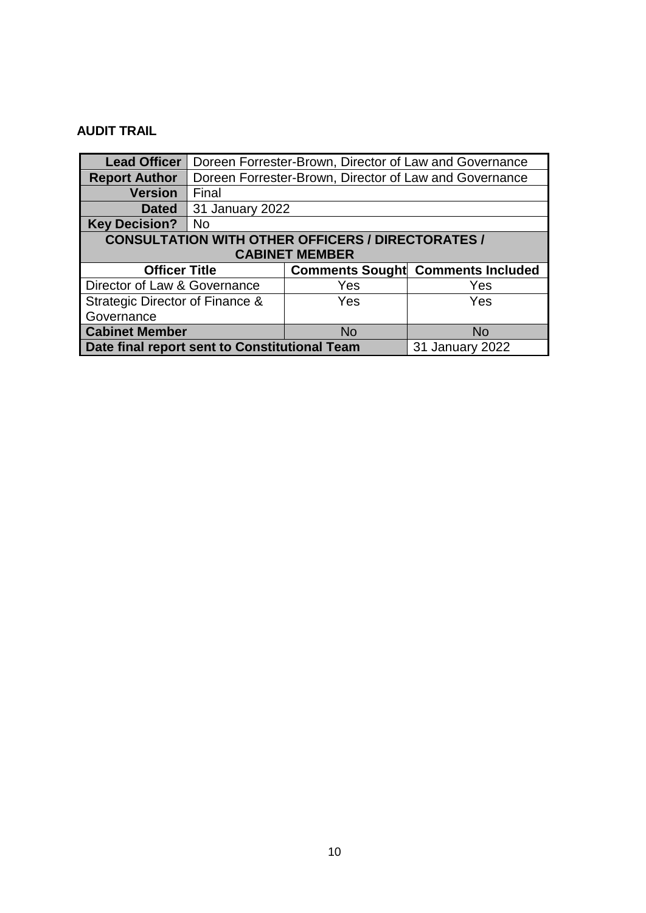# **AUDIT TRAIL**

| <b>Lead Officer</b>                                              | Doreen Forrester-Brown, Director of Law and Governance |                                                        |     |  |  |  |
|------------------------------------------------------------------|--------------------------------------------------------|--------------------------------------------------------|-----|--|--|--|
| <b>Report Author</b>                                             |                                                        | Doreen Forrester-Brown, Director of Law and Governance |     |  |  |  |
| <b>Version</b>                                                   | Final                                                  |                                                        |     |  |  |  |
| <b>Dated</b>                                                     | 31 January 2022                                        |                                                        |     |  |  |  |
| <b>Key Decision?</b>                                             | <b>No</b>                                              |                                                        |     |  |  |  |
| <b>CONSULTATION WITH OTHER OFFICERS / DIRECTORATES /</b>         |                                                        |                                                        |     |  |  |  |
|                                                                  |                                                        | <b>CABINET MEMBER</b>                                  |     |  |  |  |
| <b>Officer Title</b><br><b>Comments Sought Comments Included</b> |                                                        |                                                        |     |  |  |  |
| Director of Law & Governance                                     |                                                        | Yes                                                    | Yes |  |  |  |
| Strategic Director of Finance &                                  |                                                        | Yes                                                    | Yes |  |  |  |
| Governance                                                       |                                                        |                                                        |     |  |  |  |
| <b>Cabinet Member</b><br><b>No</b><br><b>No</b>                  |                                                        |                                                        |     |  |  |  |
| Date final report sent to Constitutional Team<br>31 January 2022 |                                                        |                                                        |     |  |  |  |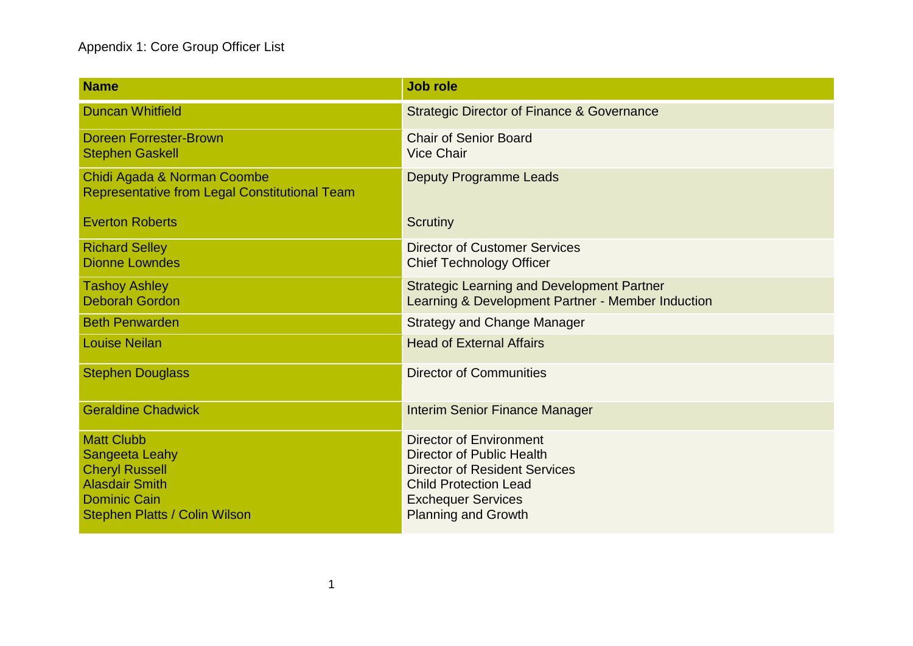# Appendix 1: Core Group Officer List

| <b>Name</b>                                                                                                                                                 | <b>Job role</b>                                                                                                                                                                                       |
|-------------------------------------------------------------------------------------------------------------------------------------------------------------|-------------------------------------------------------------------------------------------------------------------------------------------------------------------------------------------------------|
| <b>Duncan Whitfield</b>                                                                                                                                     | <b>Strategic Director of Finance &amp; Governance</b>                                                                                                                                                 |
| <b>Doreen Forrester-Brown</b><br><b>Stephen Gaskell</b>                                                                                                     | <b>Chair of Senior Board</b><br><b>Vice Chair</b>                                                                                                                                                     |
| Chidi Agada & Norman Coombe<br><b>Representative from Legal Constitutional Team</b>                                                                         | <b>Deputy Programme Leads</b>                                                                                                                                                                         |
| <b>Everton Roberts</b>                                                                                                                                      | Scrutiny                                                                                                                                                                                              |
| <b>Richard Selley</b><br><b>Dionne Lowndes</b>                                                                                                              | <b>Director of Customer Services</b><br><b>Chief Technology Officer</b>                                                                                                                               |
| <b>Tashoy Ashley</b><br><b>Deborah Gordon</b>                                                                                                               | <b>Strategic Learning and Development Partner</b><br>Learning & Development Partner - Member Induction                                                                                                |
| <b>Beth Penwarden</b>                                                                                                                                       | <b>Strategy and Change Manager</b>                                                                                                                                                                    |
| <b>Louise Neilan</b>                                                                                                                                        | <b>Head of External Affairs</b>                                                                                                                                                                       |
| <b>Stephen Douglass</b>                                                                                                                                     | <b>Director of Communities</b>                                                                                                                                                                        |
| <b>Geraldine Chadwick</b>                                                                                                                                   | <b>Interim Senior Finance Manager</b>                                                                                                                                                                 |
| <b>Matt Clubb</b><br><b>Sangeeta Leahy</b><br><b>Cheryl Russell</b><br><b>Alasdair Smith</b><br><b>Dominic Cain</b><br><b>Stephen Platts / Colin Wilson</b> | <b>Director of Environment</b><br><b>Director of Public Health</b><br><b>Director of Resident Services</b><br><b>Child Protection Lead</b><br><b>Exchequer Services</b><br><b>Planning and Growth</b> |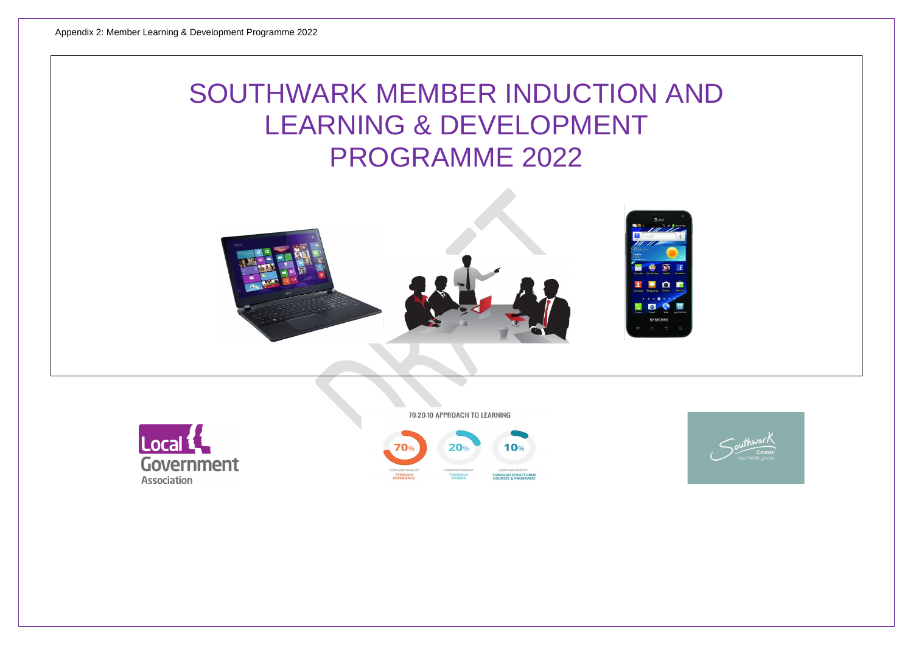# SOUTHWARK MEMBER INDUCTION AND LEARNING & DEVELOPMENT PROGRAMME 2022







70-20-10 APPROACH TO LEARNING



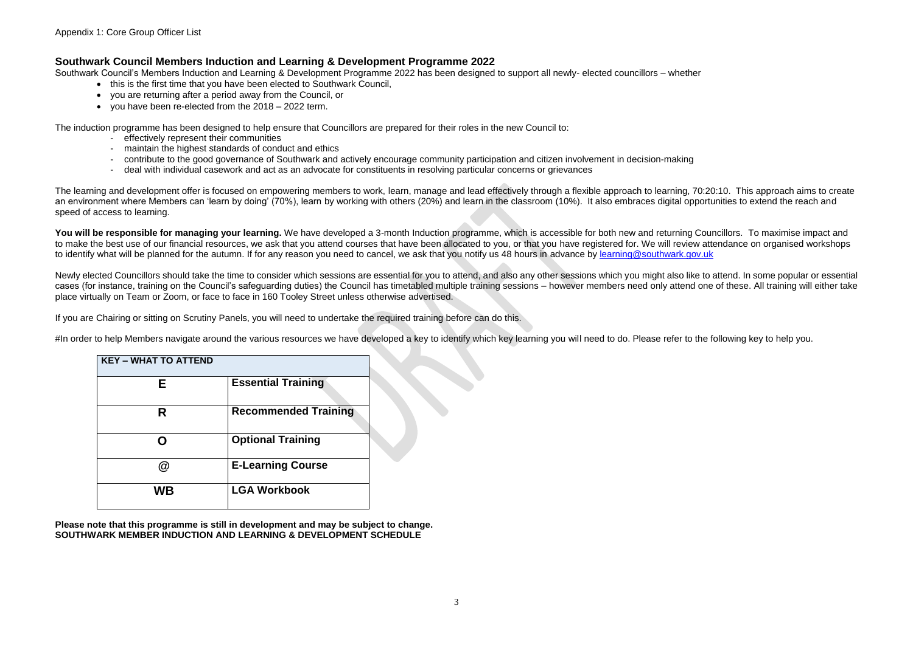# **Southwark Council Members Induction and Learning & Development Programme 2022**

Southwark Council's Members Induction and Learning & Development Programme 2022 has been designed to support all newly- elected councillors – whether

- this is the first time that you have been elected to Southwark Council,
- you are returning after a period away from the Council, or
- you have been re-elected from the 2018 2022 term.

The induction programme has been designed to help ensure that Councillors are prepared for their roles in the new Council to:

- effectively represent their communities
- maintain the highest standards of conduct and ethics
- contribute to the good governance of Southwark and actively encourage community participation and citizen involvement in decision-making
- deal with individual casework and act as an advocate for constituents in resolving particular concerns or grievances

The learning and development offer is focused on empowering members to work, learn, manage and lead effectively through a flexible approach to learning, 70:20:10. This approach aims to create an environment where Members can 'learn by doing' (70%), learn by working with others (20%) and learn in the classroom (10%). It also embraces digital opportunities to extend the reach and speed of access to learning.

You will be responsible for managing your learning. We have developed a 3-month Induction programme, which is accessible for both new and returning Councillors. To maximise impact and to make the best use of our financial resources, we ask that you attend courses that have been allocated to you, or that you have registered for. We will review attendance on organised workshops to identify what will be planned for the autumn. If for any reason you need to cancel, we ask that you notify us 48 hours in advance by [learning@southwark.gov.uk](mailto:learning@southwark.gov.uk)

Newly elected Councillors should take the time to consider which sessions are essential for you to attend, and also any other sessions which you might also like to attend. In some popular or essential cases (for instance, training on the Council's safeguarding duties) the Council has timetabled multiple training sessions – however members need only attend one of these. All training will either take place virtually on Team or Zoom, or face to face in 160 Tooley Street unless otherwise advertised.

If you are Chairing or sitting on Scrutiny Panels, you will need to undertake the required training before can do this.

#In order to help Members navigate around the various resources we have developed a key to identify which key learning you will need to do. Please refer to the following key to help you.

| <b>KEY - WHAT TO ATTEND</b> |                             |
|-----------------------------|-----------------------------|
| Е                           | <b>Essential Training</b>   |
| R                           | <b>Recommended Training</b> |
|                             | <b>Optional Training</b>    |
| Q)                          | <b>E-Learning Course</b>    |
| WB                          | <b>LGA Workbook</b>         |

**Please note that this programme is still in development and may be subject to change. SOUTHWARK MEMBER INDUCTION AND LEARNING & DEVELOPMENT SCHEDULE**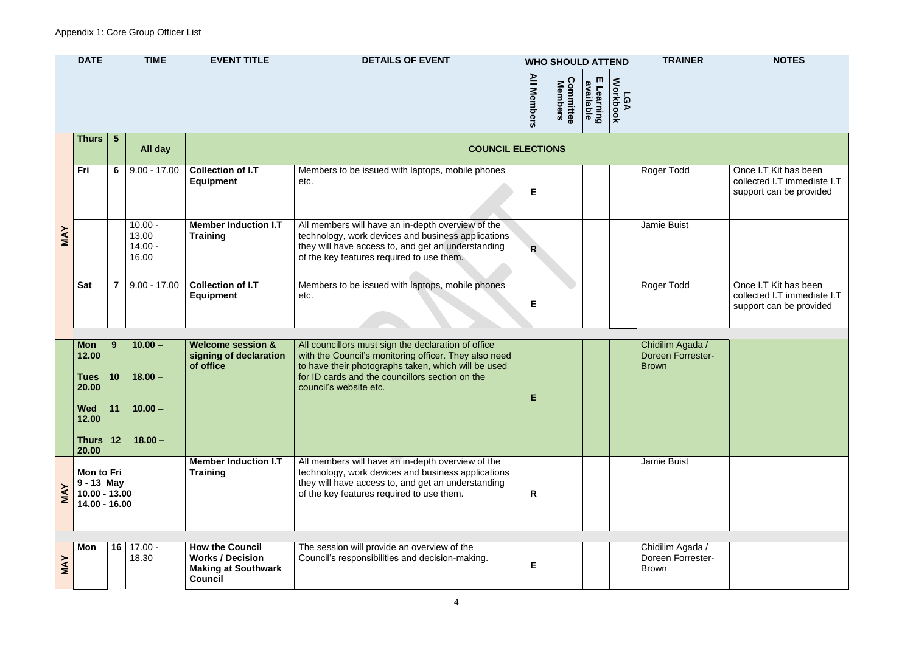|            | <b>DATE</b>                                               |                 | <b>TIME</b>                              | <b>EVENT TITLE</b>                                                  | <b>DETAILS OF EVENT</b>                                                                                                                                                                                                                          | <b>All Members</b> | <b>WHO SHOULD ATTEND</b><br><b>Committee</b><br>Members | m<br>available<br>Learning | LGA<br>Workbook | <b>TRAINER</b>                                               | <b>NOTES</b>                                                 |
|------------|-----------------------------------------------------------|-----------------|------------------------------------------|---------------------------------------------------------------------|--------------------------------------------------------------------------------------------------------------------------------------------------------------------------------------------------------------------------------------------------|--------------------|---------------------------------------------------------|----------------------------|-----------------|--------------------------------------------------------------|--------------------------------------------------------------|
|            | <b>Thurs</b>                                              | $5\phantom{.0}$ | All day                                  |                                                                     | <b>COUNCIL ELECTIONS</b>                                                                                                                                                                                                                         |                    |                                                         |                            |                 |                                                              |                                                              |
|            | Fri                                                       | $6\phantom{1}6$ | $9.00 - 17.00$                           | <b>Collection of I.T</b><br><b>Equipment</b>                        | Members to be issued with laptops, mobile phones<br>etc.                                                                                                                                                                                         | Е                  |                                                         |                            |                 | Roger Todd                                                   | Once I.T Kit has b<br>collected I.T imm<br>support can be pr |
| <b>MAY</b> |                                                           |                 | $10.00 -$<br>13.00<br>$14.00 -$<br>16.00 | <b>Member Induction I.T</b><br><b>Training</b>                      | All members will have an in-depth overview of the<br>technology, work devices and business applications<br>they will have access to, and get an understanding<br>of the key features required to use them.                                       | $\mathsf{R}$       |                                                         |                            |                 | Jamie Buist                                                  |                                                              |
|            | <b>Sat</b>                                                | $\overline{7}$  | $9.00 - 17.00$                           | <b>Collection of I.T</b><br><b>Equipment</b>                        | Members to be issued with laptops, mobile phones<br>etc.                                                                                                                                                                                         | Е                  |                                                         |                            |                 | Roger Todd                                                   | Once I.T Kit has I<br>collected I.T imm<br>support can be pr |
|            | <b>Mon</b><br>12.00<br><b>Tues</b><br>20.00<br><b>Wed</b> | 9<br>10<br>11   | $10.00 -$<br>$18.00 -$<br>$10.00 -$      | <b>Welcome session &amp;</b><br>signing of declaration<br>of office | All councillors must sign the declaration of office<br>with the Council's monitoring officer. They also need<br>to have their photographs taken, which will be used<br>for ID cards and the councillors section on the<br>council's website etc. | Е                  |                                                         |                            |                 | Chidilim Agada /<br><b>Doreen Forrester-</b><br><b>Brown</b> |                                                              |
|            | 12.00<br>Thurs 12<br>20.00                                |                 | $18.00 -$                                | <b>Member Induction I.T</b>                                         | All members will have an in-depth overview of the                                                                                                                                                                                                |                    |                                                         |                            |                 | Jamie Buist                                                  |                                                              |
|            | <b>Mon to Fri</b>                                         |                 |                                          | <b>Training</b>                                                     | technology, work devices and business applications                                                                                                                                                                                               |                    |                                                         |                            |                 |                                                              |                                                              |

| Roger Todd                                                   | Once I.T Kit has been<br>collected I.T immediate I.T<br>support can be provided |
|--------------------------------------------------------------|---------------------------------------------------------------------------------|
| <b>Jamie Buist</b>                                           |                                                                                 |
| Roger Todd                                                   | Once I.T Kit has been<br>collected I.T immediate I.T<br>support can be provided |
|                                                              |                                                                                 |
| Chidilim Agada /<br><b>Doreen Forrester-</b><br><b>Brown</b> |                                                                                 |
| <b>Jamie Buist</b>                                           |                                                                                 |
|                                                              |                                                                                 |
| Chidilim Agada /<br>Doreen Forrester-<br><b>Brown</b>        |                                                                                 |

**MAY**

**9 - 13 May 10.00 - 13.00 14.00 - 16.00**

they will have access to, and get an understanding

of the key features required to use them. **R**

**MAY**

**Mon 16** 17.00 -

18.30

**How the Council Works / Decision** 

**Making at Southwark** 

**Council**

The session will provide an overview of the Council's responsibilities and decision-making.

**E**

Brown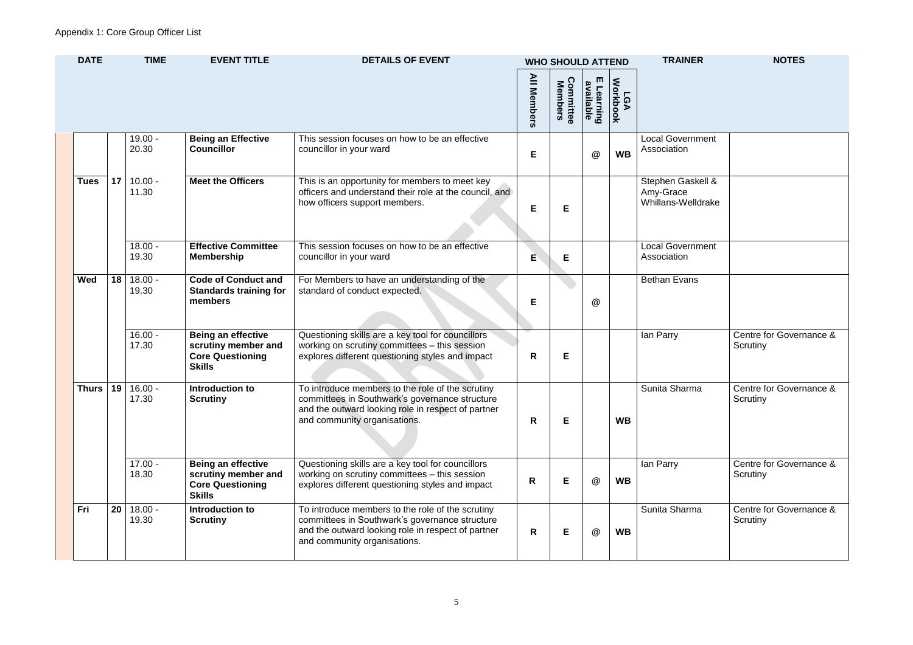| <b>Local Government</b><br>Association               |                                     |
|------------------------------------------------------|-------------------------------------|
| Stephen Gaskell &<br>Amy-Grace<br>Whillans-Welldrake |                                     |
| <b>Local Government</b><br>Association               |                                     |
| <b>Bethan Evans</b>                                  |                                     |
| lan Parry                                            | Centre for Governance &<br>Scrutiny |
| Sunita Sharma                                        | Centre for Governance &<br>Scrutiny |
| lan Parry                                            | Centre for Governance &<br>Scrutiny |
| Sunita Sharma                                        | Centre for Governance &<br>Scrutiny |

| <b>DATE</b>  | <b>TIME</b><br><b>EVENT TITLE</b><br><b>DETAILS OF EVENT</b> |                    |                                                                                              |                                                                                                                                                                                          | <b>WHO SHOULD ATTEND</b> |                                         |                            | <b>TRAINER</b>         | <b>NOTES</b>                                         |                                      |
|--------------|--------------------------------------------------------------|--------------------|----------------------------------------------------------------------------------------------|------------------------------------------------------------------------------------------------------------------------------------------------------------------------------------------|--------------------------|-----------------------------------------|----------------------------|------------------------|------------------------------------------------------|--------------------------------------|
|              |                                                              |                    |                                                                                              |                                                                                                                                                                                          | <b>All Members</b>       | <b>Committee</b><br>Members<br>ommittee | m<br>available<br>Learning | <b>Workbook</b><br>LGA |                                                      |                                      |
|              |                                                              | $19.00 -$<br>20.30 | <b>Being an Effective</b><br><b>Councillor</b>                                               | This session focuses on how to be an effective<br>councillor in your ward                                                                                                                | E                        |                                         | $^\circledR$               | <b>WB</b>              | <b>Local Government</b><br>Association               |                                      |
| <b>Tues</b>  | 17                                                           | $10.00 -$<br>11.30 | <b>Meet the Officers</b>                                                                     | This is an opportunity for members to meet key<br>officers and understand their role at the council, and<br>how officers support members.                                                | E                        | Е                                       |                            |                        | Stephen Gaskell &<br>Amy-Grace<br>Whillans-Welldrake |                                      |
|              |                                                              | $18.00 -$<br>19.30 | <b>Effective Committee</b><br><b>Membership</b>                                              | This session focuses on how to be an effective<br>councillor in your ward                                                                                                                | E                        | Е                                       |                            |                        | <b>Local Government</b><br>Association               |                                      |
| <b>Wed</b>   | 18                                                           | $18.00 -$<br>19.30 | <b>Code of Conduct and</b><br><b>Standards training for</b><br>members                       | For Members to have an understanding of the<br>standard of conduct expected.                                                                                                             | E                        |                                         | @                          |                        | <b>Bethan Evans</b>                                  |                                      |
|              |                                                              | $16.00 -$<br>17.30 | <b>Being an effective</b><br>scrutiny member and<br><b>Core Questioning</b><br><b>Skills</b> | Questioning skills are a key tool for councillors<br>working on scrutiny committees - this session<br>explores different questioning styles and impact                                   | R                        | Е                                       |                            |                        | lan Parry                                            | <b>Centre for Goverr</b><br>Scrutiny |
| <b>Thurs</b> | 19                                                           | $16.00 -$<br>17.30 | Introduction to<br><b>Scrutiny</b>                                                           | To introduce members to the role of the scrutiny<br>committees in Southwark's governance structure<br>and the outward looking role in respect of partner<br>and community organisations. | R                        | E.                                      |                            | <b>WB</b>              | Sunita Sharma                                        | <b>Centre for Goverr</b><br>Scrutiny |
|              |                                                              | $17.00 -$<br>18.30 | <b>Being an effective</b><br>scrutiny member and<br><b>Core Questioning</b><br><b>Skills</b> | Questioning skills are a key tool for councillors<br>working on scrutiny committees – this session<br>explores different questioning styles and impact                                   | R                        | Е                                       | $^\circledR$               | <b>WB</b>              | lan Parry                                            | <b>Centre for Goverr</b><br>Scrutiny |
| Fri          | 20                                                           | $18.00 -$<br>19.30 | Introduction to<br><b>Scrutiny</b>                                                           | To introduce members to the role of the scrutiny<br>committees in Southwark's governance structure<br>and the outward looking role in respect of partner<br>and community organisations. | R                        | E.                                      | @                          | <b>WB</b>              | Sunita Sharma                                        | <b>Centre for Goverr</b><br>Scrutiny |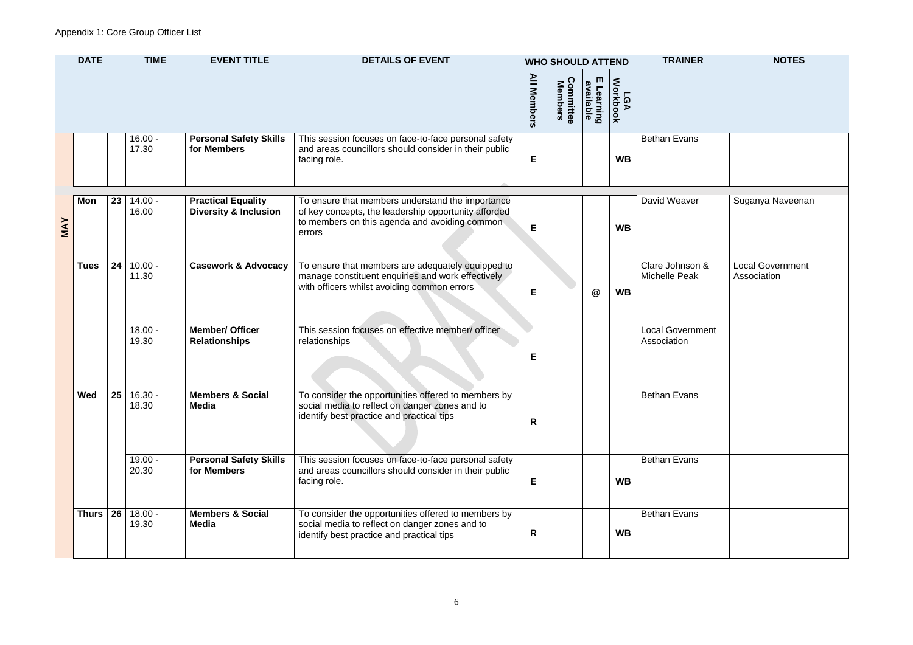| Bethan Evans                            |                                        |
|-----------------------------------------|----------------------------------------|
| David Weaver                            | Suganya Naveenan                       |
| Clare Johnson &<br><b>Michelle Peak</b> | <b>Local Government</b><br>Association |
| <b>Local Government</b><br>Association  |                                        |
| <b>Bethan Evans</b>                     |                                        |
| Bethan Evans                            |                                        |
| <b>Bethan Evans</b>                     |                                        |

|            | <b>DATE</b> |                 | <b>TIME</b>        | <b>EVENT TITLE</b>                                            | <b>DETAILS OF EVENT</b>                                                                                                                                             |                    | <b>WHO SHOULD ATTEND</b> |                            |                        | <b>TRAINER</b>                          | <b>NOTES</b>                          |
|------------|-------------|-----------------|--------------------|---------------------------------------------------------------|---------------------------------------------------------------------------------------------------------------------------------------------------------------------|--------------------|--------------------------|----------------------------|------------------------|-----------------------------------------|---------------------------------------|
|            |             |                 |                    |                                                               |                                                                                                                                                                     | <b>All Members</b> | Committee<br>Members     | m<br>available<br>Learning | <b>Workbook</b><br>LGA |                                         |                                       |
|            |             |                 | $16.00 -$<br>17.30 | <b>Personal Safety Skills</b><br>for Members                  | This session focuses on face-to-face personal safety<br>and areas councillors should consider in their public<br>facing role.                                       | E                  |                          |                            | <b>WB</b>              | <b>Bethan Evans</b>                     |                                       |
| <b>MAY</b> | Mon         | 23 <sup>1</sup> | $14.00 -$<br>16.00 | <b>Practical Equality</b><br><b>Diversity &amp; Inclusion</b> | To ensure that members understand the importance<br>of key concepts, the leadership opportunity afforded<br>to members on this agenda and avoiding common<br>errors | E.                 |                          |                            | <b>WB</b>              | David Weaver                            | Suganya Naveen                        |
|            | <b>Tues</b> | 24              | $10.00 -$<br>11.30 | <b>Casework &amp; Advocacy</b>                                | To ensure that members are adequately equipped to<br>manage constituent enquiries and work effectively<br>with officers whilst avoiding common errors               | E.                 |                          | @                          | <b>WB</b>              | Clare Johnson &<br><b>Michelle Peak</b> | <b>Local Governmer</b><br>Association |
|            |             |                 | $18.00 -$<br>19.30 | <b>Member/ Officer</b><br><b>Relationships</b>                | This session focuses on effective member/ officer<br>relationships                                                                                                  | Е                  |                          |                            |                        | <b>Local Government</b><br>Association  |                                       |
|            | Wed         | 25              | $16.30 -$<br>18.30 | <b>Members &amp; Social</b><br><b>Media</b>                   | To consider the opportunities offered to members by<br>social media to reflect on danger zones and to<br>identify best practice and practical tips                  | R                  |                          |                            |                        | <b>Bethan Evans</b>                     |                                       |
|            |             |                 | $19.00 -$<br>20.30 | <b>Personal Safety Skills</b><br>for Members                  | This session focuses on face-to-face personal safety<br>and areas councillors should consider in their public<br>facing role.                                       | E.                 |                          |                            | <b>WB</b>              | <b>Bethan Evans</b>                     |                                       |
|            | Thurs       | 26              | $18.00 -$<br>19.30 | <b>Members &amp; Social</b><br><b>Media</b>                   | To consider the opportunities offered to members by<br>social media to reflect on danger zones and to<br>identify best practice and practical tips                  | R                  |                          |                            | <b>WB</b>              | <b>Bethan Evans</b>                     |                                       |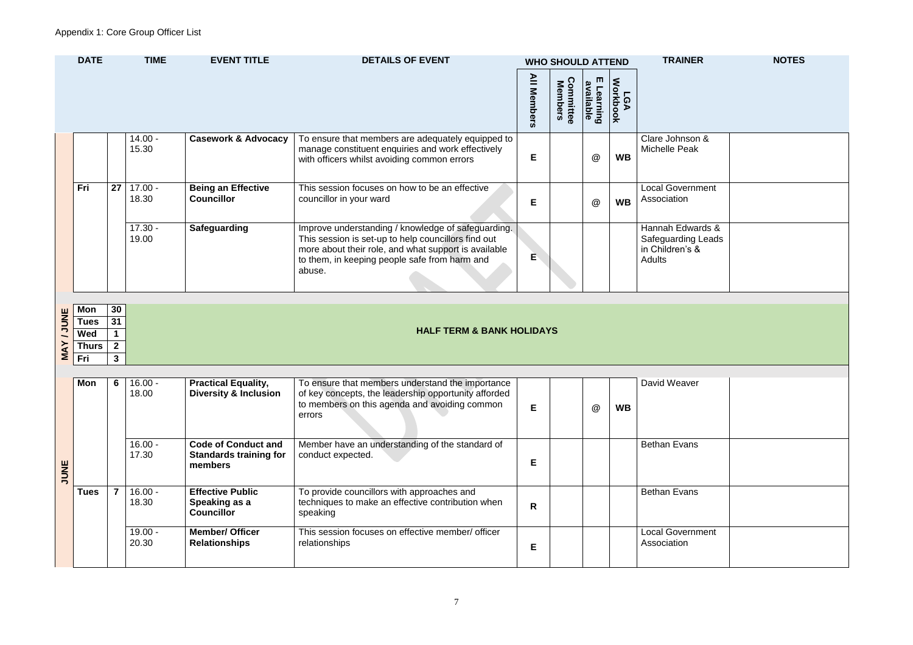| on $\overline{\mathcal{L}}$<br>зk             |  |
|-----------------------------------------------|--|
| nment                                         |  |
| vards &<br>g Leads<br>$\overline{\mathbf{8}}$ |  |
|                                               |  |
|                                               |  |
|                                               |  |
| er                                            |  |
| าร                                            |  |
| าร                                            |  |
| nment                                         |  |

|               | <b>DATE</b><br><b>TIME</b> |                | <b>EVENT TITLE</b> | <b>DETAILS OF EVENT</b>                                                |                                                                                                                                                                                                                              |                    | <b>WHO SHOULD ATTEND</b>    |                         | <b>TRAINER</b>  | <b>NOTES</b>                                                               |  |
|---------------|----------------------------|----------------|--------------------|------------------------------------------------------------------------|------------------------------------------------------------------------------------------------------------------------------------------------------------------------------------------------------------------------------|--------------------|-----------------------------|-------------------------|-----------------|----------------------------------------------------------------------------|--|
|               |                            |                |                    |                                                                        |                                                                                                                                                                                                                              | <b>All Members</b> | <b>Committee</b><br>Members | E Learning<br>available | LGA<br>Workbook |                                                                            |  |
|               |                            |                | $14.00 -$<br>15.30 | <b>Casework &amp; Advocacy</b>                                         | To ensure that members are adequately equipped to<br>manage constituent enquiries and work effectively<br>with officers whilst avoiding common errors                                                                        | E                  |                             | $^\circledR$            | <b>WB</b>       | Clare Johnson &<br><b>Michelle Peak</b>                                    |  |
|               | Fri                        | 27             | $17.00 -$<br>18.30 | <b>Being an Effective</b><br><b>Councillor</b>                         | This session focuses on how to be an effective<br>councillor in your ward                                                                                                                                                    | Е                  |                             | $^\circledR$            | <b>WB</b>       | <b>Local Government</b><br>Association                                     |  |
|               |                            |                | $17.30 -$<br>19.00 | <b>Safeguarding</b>                                                    | Improve understanding / knowledge of safeguarding.<br>This session is set-up to help councillors find out<br>more about their role, and what support is available<br>to them, in keeping people safe from harm and<br>abuse. | E                  |                             |                         |                 | Hannah Edwards &<br>Safeguarding Leads<br>in Children's &<br><b>Adults</b> |  |
|               |                            |                |                    |                                                                        |                                                                                                                                                                                                                              |                    |                             |                         |                 |                                                                            |  |
| <b>ANDINE</b> | Mon<br><b>Tues</b>         | 30<br>31       |                    |                                                                        |                                                                                                                                                                                                                              |                    |                             |                         |                 |                                                                            |  |
|               | Wed                        |                |                    |                                                                        | <b>HALF TERM &amp; BANK HOLIDAYS</b>                                                                                                                                                                                         |                    |                             |                         |                 |                                                                            |  |
| <b>MAY</b>    | Thurs                      | 2 <sup>1</sup> |                    |                                                                        |                                                                                                                                                                                                                              |                    |                             |                         |                 |                                                                            |  |
|               | Fri                        | $\mathbf{3}$   |                    |                                                                        |                                                                                                                                                                                                                              |                    |                             |                         |                 |                                                                            |  |
|               | Mon                        | 6              | $16.00 -$<br>18.00 | <b>Practical Equality,</b><br><b>Diversity &amp; Inclusion</b>         | To ensure that members understand the importance<br>of key concepts, the leadership opportunity afforded<br>to members on this agenda and avoiding common<br>errors                                                          | E.                 |                             | $^\circledR$            | <b>WB</b>       | David Weaver                                                               |  |
| <b>JUNE</b>   |                            |                | $16.00 -$<br>17.30 | <b>Code of Conduct and</b><br><b>Standards training for</b><br>members | Member have an understanding of the standard of<br>conduct expected.                                                                                                                                                         | E                  |                             |                         |                 | <b>Bethan Evans</b>                                                        |  |

| <b>Tues</b> | $16.00 -$<br>18.30 | <b>Effective Public</b><br>Speaking as a<br><b>Councillor</b> | To provide councillors with approaches and<br>techniques to make an effective contribution when<br>speaking | R |  | <b>Bethan Evans</b>                    |
|-------------|--------------------|---------------------------------------------------------------|-------------------------------------------------------------------------------------------------------------|---|--|----------------------------------------|
|             | $19.00 -$<br>20.30 | <b>Member/ Officer</b><br><b>Relationships</b>                | This session focuses on effective member/ officer<br>relationships                                          |   |  | <b>Local Government</b><br>Association |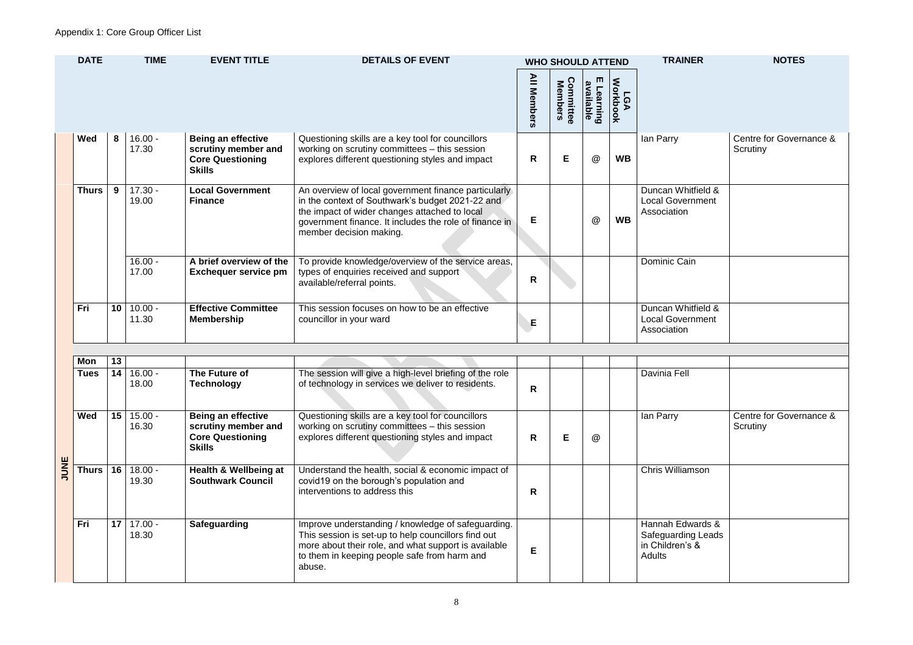

| lan Parry                                                    | Centre for Governance &<br>Scrutiny |
|--------------------------------------------------------------|-------------------------------------|
| Duncan Whitfield &<br><b>Local Government</b><br>Association |                                     |
| Dominic Cain                                                 |                                     |
| Duncan Whitfield &<br><b>Local Government</b><br>Association |                                     |
|                                                              |                                     |
|                                                              |                                     |
| <b>Davinia Fell</b>                                          |                                     |

|  | <b>DATE</b>  |                 | <b>TIME</b>        | <b>EVENT TITLE</b><br><b>DETAILS OF EVENT</b><br><b>WHO SHOULD ATTEND</b>                    |                                                                                                                                                                                                                                                |   | <b>TRAINER</b>              | <b>NOTES</b>               |                 |                                                              |                                      |
|--|--------------|-----------------|--------------------|----------------------------------------------------------------------------------------------|------------------------------------------------------------------------------------------------------------------------------------------------------------------------------------------------------------------------------------------------|---|-----------------------------|----------------------------|-----------------|--------------------------------------------------------------|--------------------------------------|
|  |              |                 |                    |                                                                                              |                                                                                                                                                                                                                                                |   | <b>Committee</b><br>Members | ш<br>available<br>Learning | Workbook<br>LGA |                                                              |                                      |
|  | Wed          | 8               | $16.00 -$<br>17.30 | <b>Being an effective</b><br>scrutiny member and<br><b>Core Questioning</b><br><b>Skills</b> | Questioning skills are a key tool for councillors<br>working on scrutiny committees - this session<br>explores different questioning styles and impact                                                                                         | R | E                           | $^\circledR$               | <b>WB</b>       | lan Parry                                                    | <b>Centre for Govern</b><br>Scrutiny |
|  | <b>Thurs</b> | 9               | $17.30 -$<br>19.00 | <b>Local Government</b><br><b>Finance</b>                                                    | An overview of local government finance particularly<br>in the context of Southwark's budget 2021-22 and<br>the impact of wider changes attached to local<br>government finance. It includes the role of finance in<br>member decision making. | E |                             | @                          | <b>WB</b>       | Duncan Whitfield &<br><b>Local Government</b><br>Association |                                      |
|  |              |                 | $16.00 -$<br>17.00 | A brief overview of the<br><b>Exchequer service pm</b>                                       | To provide knowledge/overview of the service areas,<br>types of enquiries received and support<br>available/referral points.                                                                                                                   | R |                             |                            |                 | Dominic Cain                                                 |                                      |
|  | Fri          | 10 <sup>°</sup> | $10.00 -$<br>11.30 | <b>Effective Committee</b><br><b>Membership</b>                                              | This session focuses on how to be an effective<br>councillor in your ward                                                                                                                                                                      | E |                             |                            |                 | Duncan Whitfield &<br><b>Local Government</b><br>Association |                                      |

|      | Mon         | 13 |                    |                                                                                              |                                                                                                                                                                                                                             |    |   |   |                                                                                   |                                     |
|------|-------------|----|--------------------|----------------------------------------------------------------------------------------------|-----------------------------------------------------------------------------------------------------------------------------------------------------------------------------------------------------------------------------|----|---|---|-----------------------------------------------------------------------------------|-------------------------------------|
|      | <b>Tues</b> | 14 | $16.00 -$<br>18.00 | The Future of<br>Technology                                                                  | The session will give a high-level briefing of the role<br>of technology in services we deliver to residents.                                                                                                               | R. |   |   | Davinia Fell                                                                      |                                     |
|      | Wed         | 15 | $15.00 -$<br>16.30 | <b>Being an effective</b><br>scrutiny member and<br><b>Core Questioning</b><br><b>Skills</b> | Questioning skills are a key tool for councillors<br>working on scrutiny committees - this session<br>explores different questioning styles and impact                                                                      | R  | Е | @ | lan Parry                                                                         | Centre for Governance &<br>Scrutiny |
| JUNE | Thurs       | 16 | $18.00 -$<br>19.30 | <b>Health &amp; Wellbeing at</b><br><b>Southwark Council</b>                                 | Understand the health, social & economic impact of<br>covid 19 on the borough's population and<br>interventions to address this                                                                                             | R  |   |   | <b>Chris Williamson</b>                                                           |                                     |
|      | Fri         | 17 | $17.00 -$<br>18.30 | Safeguarding                                                                                 | Improve understanding / knowledge of safeguarding.<br>This session is set-up to help councillors find out<br>more about their role, and what support is available<br>to them in keeping people safe from harm and<br>abuse. | E  |   |   | Hannah Edwards &<br><b>Safeguarding Leads</b><br>in Children's &<br><b>Adults</b> |                                     |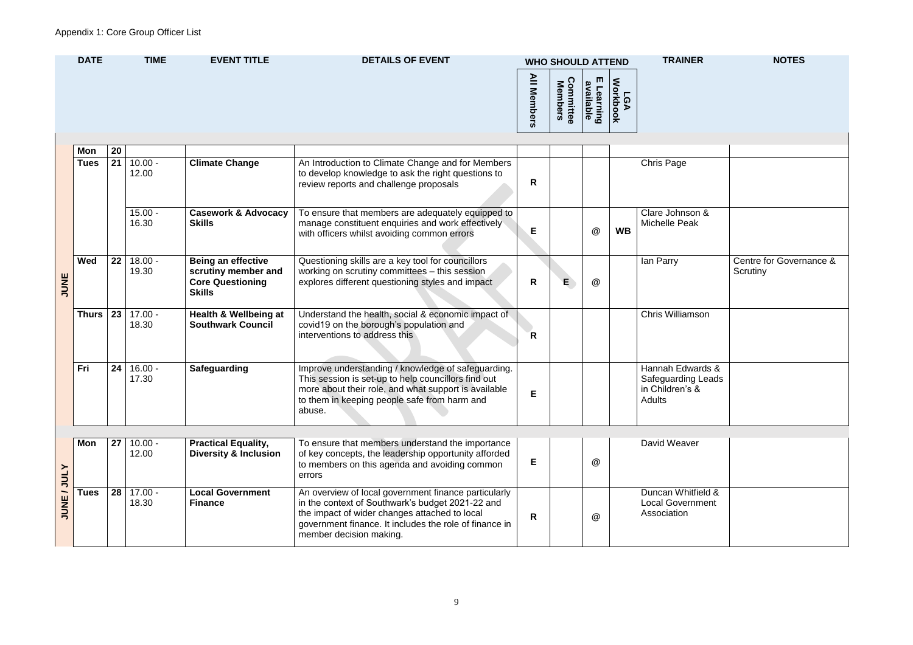| Chris Page                                                                 |                                     |
|----------------------------------------------------------------------------|-------------------------------------|
| Clare Johnson &<br><b>Michelle Peak</b>                                    |                                     |
| lan Parry                                                                  | Centre for Governance &<br>Scrutiny |
| <b>Chris Williamson</b>                                                    |                                     |
| Hannah Edwards &<br>Safeguarding Leads<br>in Children's &<br><b>Adults</b> |                                     |
| David Weaver                                                               |                                     |
| Duncan Whitfield &<br><b>Local Government</b><br><b>Association</b>        |                                     |

|                  | <b>DATE</b>  |           | <b>TIME</b>        | <b>EVENT TITLE</b>                                                                           | <b>DETAILS OF EVENT</b>                                                                                                                                                                                                                        |                    | <b>WHO SHOULD ATTEND</b> |                            |                        | <b>TRAINER</b>                                                             | <b>NOTES</b>                         |
|------------------|--------------|-----------|--------------------|----------------------------------------------------------------------------------------------|------------------------------------------------------------------------------------------------------------------------------------------------------------------------------------------------------------------------------------------------|--------------------|--------------------------|----------------------------|------------------------|----------------------------------------------------------------------------|--------------------------------------|
|                  |              |           |                    |                                                                                              |                                                                                                                                                                                                                                                | <b>All Members</b> | Members<br>ommittee      | m<br>available<br>Learning | <b>Workbook</b><br>LGA |                                                                            |                                      |
|                  | Mon          | 20        |                    |                                                                                              |                                                                                                                                                                                                                                                |                    |                          |                            |                        |                                                                            |                                      |
|                  | <b>Tues</b>  | 21        | $10.00 -$<br>12.00 | <b>Climate Change</b>                                                                        | An Introduction to Climate Change and for Members<br>to develop knowledge to ask the right questions to<br>review reports and challenge proposals                                                                                              | R                  |                          |                            |                        | <b>Chris Page</b>                                                          |                                      |
| JUNE             |              |           | $15.00 -$<br>16.30 | <b>Casework &amp; Advocacy</b><br><b>Skills</b>                                              | To ensure that members are adequately equipped to<br>manage constituent enquiries and work effectively<br>with officers whilst avoiding common errors                                                                                          | E.                 |                          | @                          | <b>WB</b>              | Clare Johnson &<br><b>Michelle Peak</b>                                    |                                      |
|                  | Wed          | 22        | $18.00 -$<br>19.30 | <b>Being an effective</b><br>scrutiny member and<br><b>Core Questioning</b><br><b>Skills</b> | Questioning skills are a key tool for councillors<br>working on scrutiny committees - this session<br>explores different questioning styles and impact                                                                                         | R                  | E.                       | @                          |                        | lan Parry                                                                  | <b>Centre for Goverr</b><br>Scrutiny |
|                  | <b>Thurs</b> | 23        | $17.00 -$<br>18.30 | <b>Health &amp; Wellbeing at</b><br><b>Southwark Council</b>                                 | Understand the health, social & economic impact of<br>covid19 on the borough's population and<br>interventions to address this                                                                                                                 | $\overline{R}$     |                          |                            |                        | Chris Williamson                                                           |                                      |
|                  | Fri          | 24        | $16.00 -$<br>17.30 | <b>Safeguarding</b>                                                                          | Improve understanding / knowledge of safeguarding.<br>This session is set-up to help councillors find out<br>more about their role, and what support is available<br>to them in keeping people safe from harm and<br>abuse.                    | E.                 |                          |                            |                        | Hannah Edwards &<br><b>Safeguarding Leads</b><br>in Children's &<br>Adults |                                      |
|                  | Mon          | $27 \mid$ | $10.00 -$<br>12.00 | <b>Practical Equality,</b><br><b>Diversity &amp; Inclusion</b>                               | To ensure that members understand the importance<br>of key concepts, the leadership opportunity afforded<br>to members on this agenda and avoiding common<br>errors                                                                            | Е                  |                          | @                          |                        | David Weaver                                                               |                                      |
| <b>NUNE/JULY</b> | <b>Tues</b>  | 28        | $17.00 -$<br>18.30 | <b>Local Government</b><br><b>Finance</b>                                                    | An overview of local government finance particularly<br>in the context of Southwark's budget 2021-22 and<br>the impact of wider changes attached to local<br>government finance. It includes the role of finance in<br>member decision making. | R                  |                          | @                          |                        | Duncan Whitfield &<br><b>Local Government</b><br>Association               |                                      |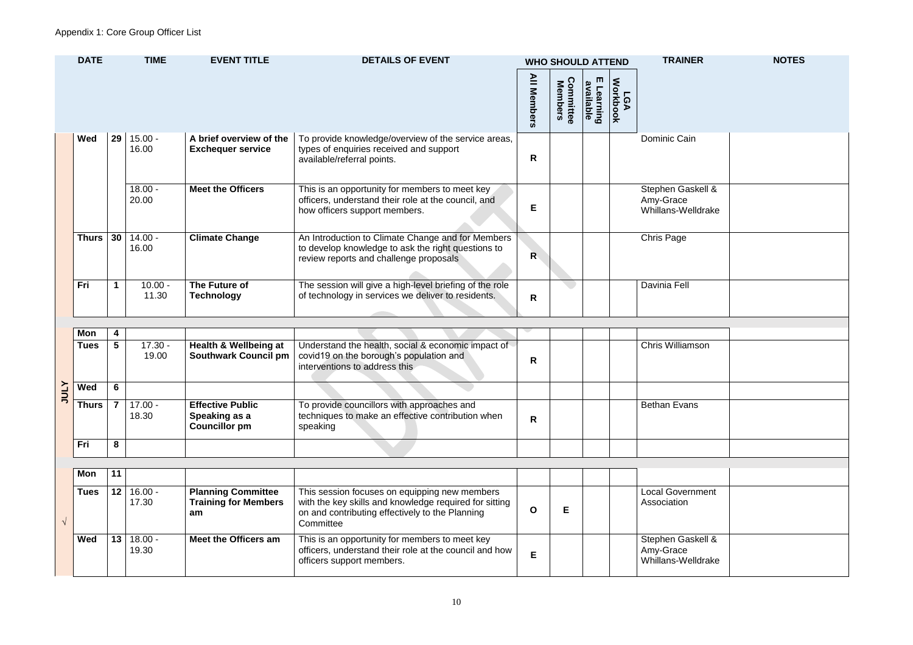| ain                                   |   |
|---------------------------------------|---|
|                                       |   |
| askell &<br><sup>}</sup><br>/elldrake |   |
|                                       |   |
| ļ.                                    |   |
|                                       |   |
| Ī                                     |   |
|                                       |   |
|                                       |   |
|                                       |   |
| <b>imson</b>                          |   |
|                                       |   |
|                                       |   |
| $\overline{\text{ans}}$               |   |
|                                       |   |
|                                       |   |
|                                       | Ĺ |
|                                       |   |
| ernment<br>ì                          |   |
|                                       |   |
| askell &                              |   |
| e<br>/elldrake                        |   |
|                                       |   |

| <b>DATE</b>  |    | <b>TIME</b>        | <b>EVENT TITLE</b>                                  | <b>DETAILS OF EVENT</b><br><b>WHO SHOULD ATTEND</b>                                                                                               |                    |                                       | <b>TRAINER</b>             | <b>NOTES</b>           |                                                      |  |
|--------------|----|--------------------|-----------------------------------------------------|---------------------------------------------------------------------------------------------------------------------------------------------------|--------------------|---------------------------------------|----------------------------|------------------------|------------------------------------------------------|--|
|              |    |                    |                                                     |                                                                                                                                                   | <b>All Members</b> | <b>Committee</b><br>Members<br>mittee | m<br>available<br>Learning | <b>Workbook</b><br>LGA |                                                      |  |
| Wed          | 29 | $15.00 -$<br>16.00 | A brief overview of the<br><b>Exchequer service</b> | To provide knowledge/overview of the service areas,<br>types of enquiries received and support<br>available/referral points.                      | R                  |                                       |                            |                        | Dominic Cain                                         |  |
|              |    | $18.00 -$<br>20.00 | <b>Meet the Officers</b>                            | This is an opportunity for members to meet key<br>officers, understand their role at the council, and<br>how officers support members.            | E                  |                                       |                            |                        | Stephen Gaskell &<br>Amy-Grace<br>Whillans-Welldrake |  |
| <b>Thurs</b> | 30 | $14.00 -$<br>16.00 | <b>Climate Change</b>                               | An Introduction to Climate Change and for Members<br>to develop knowledge to ask the right questions to<br>review reports and challenge proposals | $\overline{R}$     |                                       |                            |                        | <b>Chris Page</b>                                    |  |
| <b>Fri</b>   |    | $10.00 -$<br>11.30 | The Future of<br><b>Technology</b>                  | The session will give a high-level briefing of the role<br>of technology in services we deliver to residents.                                     | $\mathsf{R}$       |                                       |                            |                        | Davinia Fell                                         |  |

|              | Mon          |   |                    |                                                                  |                                                                                                                                |   |  |                         |
|--------------|--------------|---|--------------------|------------------------------------------------------------------|--------------------------------------------------------------------------------------------------------------------------------|---|--|-------------------------|
|              | Tues         |   | $17.30 -$<br>19.00 | <b>Health &amp; Wellbeing at</b><br><b>Southwark Council pm</b>  | Understand the health, social & economic impact of<br>covid19 on the borough's population and<br>interventions to address this | R |  | <b>Chris Williamson</b> |
| <b>ATIOL</b> | Wed          | 6 |                    |                                                                  |                                                                                                                                |   |  |                         |
|              | <b>Thurs</b> |   | $17.00 -$<br>18.30 | <b>Effective Public</b><br>Speaking as a<br><b>Councillor pm</b> | To provide councillors with approaches and<br>techniques to make an effective contribution when<br>speaking                    | R |  | <b>Bethan Evans</b>     |
|              | Fri          | 8 |                    |                                                                  |                                                                                                                                |   |  |                         |

| Mon         | 11 |                    |                                                                |                                                                                                                                                                         |   |  |                                                      |
|-------------|----|--------------------|----------------------------------------------------------------|-------------------------------------------------------------------------------------------------------------------------------------------------------------------------|---|--|------------------------------------------------------|
| <b>Tues</b> | 12 | $16.00 -$<br>17.30 | <b>Planning Committee</b><br><b>Training for Members</b><br>am | This session focuses on equipping new members<br>with the key skills and knowledge required for sitting<br>on and contributing effectively to the Planning<br>Committee | E |  | <b>Local Government</b><br>Association               |
| <b>Wed</b>  | 13 | $18.00 -$<br>19.30 | Meet the Officers am                                           | This is an opportunity for members to meet key<br>officers, understand their role at the council and how<br>officers support members.                                   |   |  | Stephen Gaskell &<br>Amy-Grace<br>Whillans-Welldrake |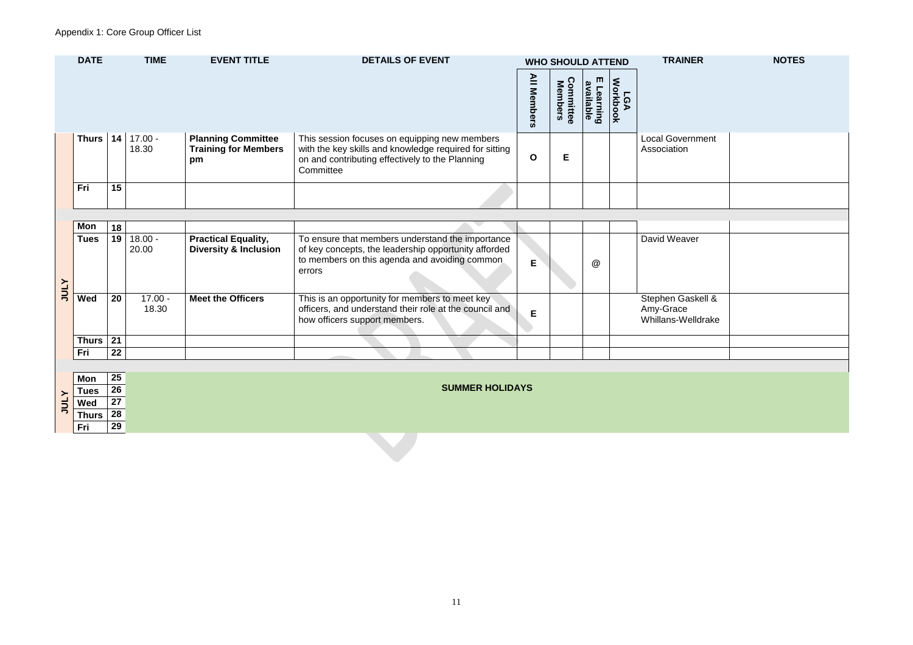# Appendix 1: Core Group Officer List

| nment          |  |
|----------------|--|
|                |  |
|                |  |
|                |  |
| er             |  |
| skell &        |  |
| <b>Ildrake</b> |  |
|                |  |
|                |  |
|                |  |
|                |  |

| <b>DATE</b>  |    | <b>TIME</b>        | <b>EVENT TITLE</b>                                             | <b>DETAILS OF EVENT</b>                                                                                                                                                 | $\overline{=}$<br><b>Members</b> | <b>WHO SHOULD ATTEND</b><br>Comn<br>Mem<br>nittee<br><b>ers</b> | $\blacksquare$<br>മ<br><b>alde</b><br><b>ling</b> | ₹<br>$\Omega$<br>ъ<br>읏 | <b>TRAINER</b>                         | <b>NOTES</b> |
|--------------|----|--------------------|----------------------------------------------------------------|-------------------------------------------------------------------------------------------------------------------------------------------------------------------------|----------------------------------|-----------------------------------------------------------------|---------------------------------------------------|-------------------------|----------------------------------------|--------------|
| <b>Thurs</b> | 14 | $17.00 -$<br>18.30 | <b>Planning Committee</b><br><b>Training for Members</b><br>pm | This session focuses on equipping new members<br>with the key skills and knowledge required for sitting<br>on and contributing effectively to the Planning<br>Committee | $\mathbf 0$                      | E                                                               |                                                   |                         | <b>Local Government</b><br>Association |              |
| Fri          | 15 |                    |                                                                |                                                                                                                                                                         |                                  |                                                                 |                                                   |                         |                                        |              |
| Mon          | 18 |                    |                                                                |                                                                                                                                                                         |                                  |                                                                 |                                                   |                         |                                        |              |
|              |    |                    |                                                                |                                                                                                                                                                         |                                  |                                                                 |                                                   |                         |                                        |              |

| ww         | IO.    |                    |                                                                |                                                                                                                                                                     |    |   |                                                      |
|------------|--------|--------------------|----------------------------------------------------------------|---------------------------------------------------------------------------------------------------------------------------------------------------------------------|----|---|------------------------------------------------------|
| Tues       | $19-1$ | $18.00 -$<br>20.00 | <b>Practical Equality,</b><br><b>Diversity &amp; Inclusion</b> | To ensure that members understand the importance<br>of key concepts, the leadership opportunity afforded<br>to members on this agenda and avoiding common<br>errors | E. | @ | David Weaver                                         |
| <b>Wed</b> | 20     | $17.00 -$<br>18.30 | <b>Meet the Officers</b>                                       | This is an opportunity for members to meet key<br>officers, and understand their role at the council and<br>how officers support members.                           |    |   | Stephen Gaskell &<br>Amy-Grace<br>Whillans-Welldrake |
| Thurs   21 |        |                    |                                                                |                                                                                                                                                                     |    |   |                                                      |
| <b>Fri</b> | 22     |                    |                                                                |                                                                                                                                                                     |    |   |                                                      |
|            |        |                    |                                                                |                                                                                                                                                                     |    |   |                                                      |

|                | Mon          | 25 |
|----------------|--------------|----|
|                | ⊺ues         | 26 |
| $\overline{5}$ | Wed          | 27 |
|                | <b>Thurs</b> | 28 |
|                | Fri          | 29 |